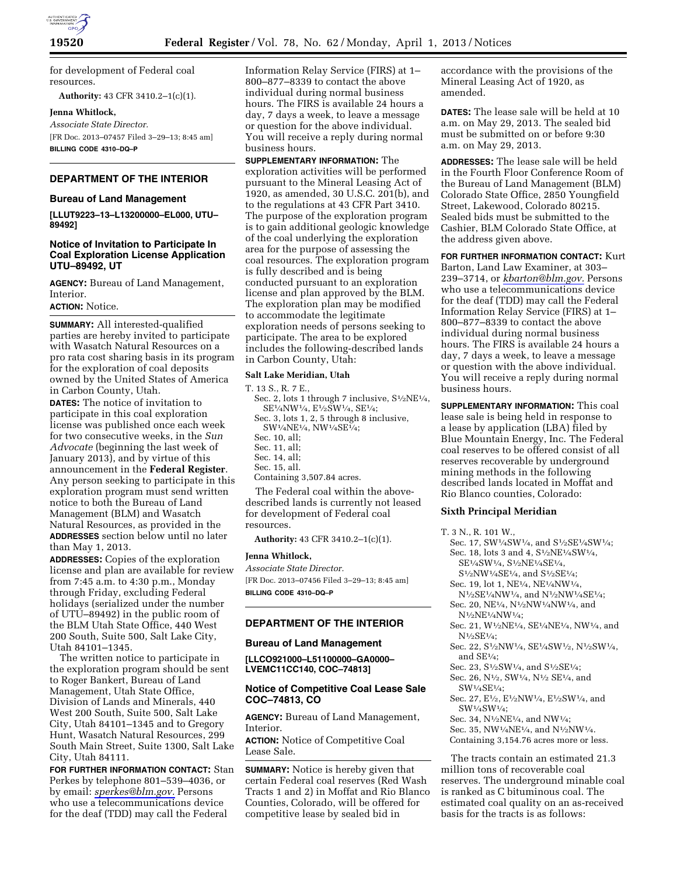

for development of Federal coal resources.

**Authority:** 43 CFR 3410.2–1(c)(1).

**Jenna Whitlock,** 

*Associate State Director.*  [FR Doc. 2013–07457 Filed 3–29–13; 8:45 am] **BILLING CODE 4310–DQ–P** 

# **DEPARTMENT OF THE INTERIOR**

## **Bureau of Land Management**

**[LLUT9223–13–L13200000–EL000, UTU– 89492]** 

### **Notice of Invitation to Participate In Coal Exploration License Application UTU–89492, UT**

**AGENCY:** Bureau of Land Management, Interior.

# **ACTION:** Notice.

**SUMMARY:** All interested-qualified parties are hereby invited to participate with Wasatch Natural Resources on a pro rata cost sharing basis in its program for the exploration of coal deposits owned by the United States of America in Carbon County, Utah.

**DATES:** The notice of invitation to participate in this coal exploration license was published once each week for two consecutive weeks, in the *Sun Advocate* (beginning the last week of January 2013), and by virtue of this announcement in the **Federal Register**. Any person seeking to participate in this exploration program must send written notice to both the Bureau of Land Management (BLM) and Wasatch Natural Resources, as provided in the **ADDRESSES** section below until no later than May 1, 2013.

**ADDRESSES:** Copies of the exploration license and plan are available for review from 7:45 a.m. to 4:30 p.m., Monday through Friday, excluding Federal holidays (serialized under the number of UTU–89492) in the public room of the BLM Utah State Office, 440 West 200 South, Suite 500, Salt Lake City, Utah 84101–1345.

The written notice to participate in the exploration program should be sent to Roger Bankert, Bureau of Land Management, Utah State Office, Division of Lands and Minerals, 440 West 200 South, Suite 500, Salt Lake City, Utah 84101–1345 and to Gregory Hunt, Wasatch Natural Resources, 299 South Main Street, Suite 1300, Salt Lake City, Utah 84111.

**FOR FURTHER INFORMATION CONTACT:** Stan Perkes by telephone 801–539–4036, or by email: *[sperkes@blm.gov.](mailto:sperkes@blm.gov)* Persons who use a telecommunications device for the deaf (TDD) may call the Federal

Information Relay Service (FIRS) at 1– 800–877–8339 to contact the above individual during normal business hours. The FIRS is available 24 hours a day, 7 days a week, to leave a message or question for the above individual. You will receive a reply during normal business hours.

**SUPPLEMENTARY INFORMATION:** The exploration activities will be performed pursuant to the Mineral Leasing Act of 1920, as amended, 30 U.S.C. 201(b), and to the regulations at 43 CFR Part 3410. The purpose of the exploration program is to gain additional geologic knowledge of the coal underlying the exploration area for the purpose of assessing the coal resources. The exploration program is fully described and is being conducted pursuant to an exploration license and plan approved by the BLM. The exploration plan may be modified to accommodate the legitimate exploration needs of persons seeking to participate. The area to be explored includes the following-described lands in Carbon County, Utah:

### **Salt Lake Meridian, Utah**

T. 13 S., R. 7 E., Sec. 2, lots 1 through 7 inclusive,  $S<sup>1</sup>/2NE<sup>1</sup>/4$ , SE1⁄4NW1⁄4, E1⁄2SW1⁄4, SE1⁄4; Sec. 3, lots 1, 2, 5 through 8 inclusive, SW1⁄4NE1⁄4, NW1⁄4SE1⁄4; Sec. 10, all; Sec. 11, all; Sec. 14, all; Sec. 15, all. Containing 3,507.84 acres.

The Federal coal within the abovedescribed lands is currently not leased for development of Federal coal resources.

**Authority:** 43 CFR 3410.2–1(c)(1).

#### **Jenna Whitlock,**

*Associate State Director.*  [FR Doc. 2013–07456 Filed 3–29–13; 8:45 am] **BILLING CODE 4310–DQ–P** 

### **DEPARTMENT OF THE INTERIOR**

#### **Bureau of Land Management**

**[LLCO921000–L51100000–GA0000– LVEMC11CC140, COC–74813]** 

### **Notice of Competitive Coal Lease Sale COC–74813, CO**

**AGENCY:** Bureau of Land Management, Interior.

**ACTION:** Notice of Competitive Coal Lease Sale.

**SUMMARY:** Notice is hereby given that certain Federal coal reserves (Red Wash Tracts 1 and 2) in Moffat and Rio Blanco Counties, Colorado, will be offered for competitive lease by sealed bid in

accordance with the provisions of the Mineral Leasing Act of 1920, as amended.

**DATES:** The lease sale will be held at 10 a.m. on May 29, 2013. The sealed bid must be submitted on or before 9:30 a.m. on May 29, 2013.

**ADDRESSES:** The lease sale will be held in the Fourth Floor Conference Room of the Bureau of Land Management (BLM) Colorado State Office, 2850 Youngfield Street, Lakewood, Colorado 80215. Sealed bids must be submitted to the Cashier, BLM Colorado State Office, at the address given above.

**FOR FURTHER INFORMATION CONTACT:** Kurt Barton, Land Law Examiner, at 303– 239–3714, or *[kbarton@blm.gov.](mailto:kbarton@blm.gov)* Persons who use a telecommunications device for the deaf (TDD) may call the Federal Information Relay Service (FIRS) at 1– 800–877–8339 to contact the above individual during normal business hours. The FIRS is available 24 hours a day, 7 days a week, to leave a message or question with the above individual. You will receive a reply during normal business hours.

**SUPPLEMENTARY INFORMATION:** This coal lease sale is being held in response to a lease by application (LBA) filed by Blue Mountain Energy, Inc. The Federal coal reserves to be offered consist of all reserves recoverable by underground mining methods in the following described lands located in Moffat and Rio Blanco counties, Colorado:

## **Sixth Principal Meridian**

T. 3 N., R. 101 W.,

- Sec. 17, SW1/4SW1/4, and S1/2SE1/4SW1/4; Sec. 18, lots 3 and 4, S1⁄2NE1⁄4SW1⁄4, SE1⁄4SW1⁄4, S1⁄2NE1⁄4SE1⁄4,
	- S1⁄2NW1⁄4SE1⁄4, and S1⁄2SE1⁄4;
- Sec. 19, lot 1, NE1⁄4, NE1⁄4NW1⁄4, N<sup>1</sup>/2SE<sup>1</sup>/4NW<sup>1</sup>/4, and N<sup>1</sup>/2NW<sup>1</sup>/4SE<sup>1</sup>/4;
- Sec. 20, NE1⁄4, N1⁄2NW1⁄4NW1⁄4, and N1⁄2NE1⁄4NW1⁄4;
- Sec. 21, W1⁄2NE1⁄4, SE1⁄4NE1⁄4, NW1⁄4, and N1⁄2SE1⁄4;
- Sec. 22, S1⁄2NW1⁄4, SE1⁄4SW1⁄2, N1⁄2SW1⁄4, and SE1⁄4;
- Sec. 23, S1⁄2SW1⁄4, and S1⁄2SE1⁄4;
- Sec. 26, N<sup>1</sup>/2, SW<sup>1</sup>/4, N<sup>1</sup>/2 SE<sup>1</sup>/4, and SW1⁄4SE1⁄4;
- Sec. 27, E½, E½NW½, E½SW½, and SW1⁄4SW1⁄4;

Sec. 34, N1⁄2NE1⁄4, and NW1⁄4;

Sec. 35, NW1⁄4NE1⁄4, and N1⁄2NW1⁄4. Containing 3,154.76 acres more or less.

The tracts contain an estimated 21.3 million tons of recoverable coal reserves. The underground minable coal is ranked as C bituminous coal. The estimated coal quality on an as-received basis for the tracts is as follows: